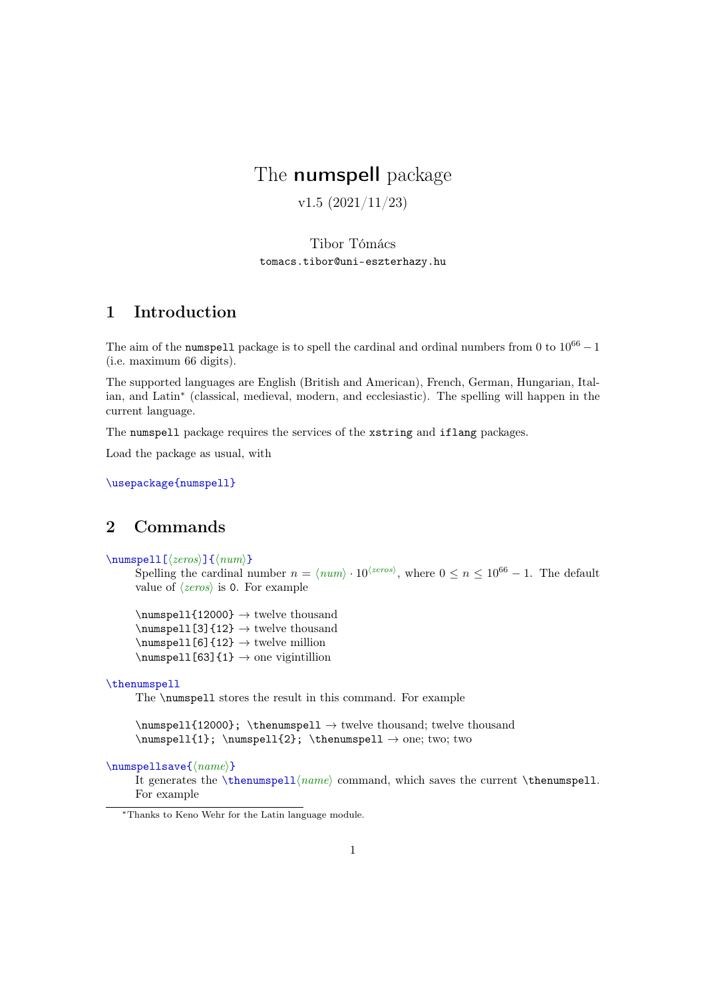# The numspell package

v1.5 (2021/11/23)

Tibor Tómács <tomacs.tibor@uni-eszterhazy.hu>

# 1 Introduction

The aim of the numspell package is to spell the cardinal and ordinal numbers from 0 to  $10^{66} - 1$ (i.e. maximum 66 digits).

The supported languages are English (British and American), French, German, Hungarian, Italian, and Latin<sup>∗</sup> (classical, medieval, modern, and ecclesiastic). The spelling will happen in the current language.

The numspell package requires the services of the xstring and iflang packages.

Load the package as usual, with

\usepackage{numspell}

# 2 Commands

\numspell[⟨zeros⟩]{⟨num⟩}

Spelling the cardinal number  $n = \langle num \rangle \cdot 10^{\langle zeros \rangle}$ , where  $0 \le n \le 10^{66} - 1$ . The default value of  $\langle zeros \rangle$  is 0. For example

 $\text{numspell}(12000} \rightarrow \text{two}$  twelve thousand  $\text{numspell}[3]{12} \rightarrow \text{two}$  twelve thousand  $\sum_{p\in\mathbb{S}^{12}} \rightarrow \text{twelve million}$  $\text{sum}\neq 1$ [63]{1}  $\rightarrow$  one vigintillion

#### \thenumspell

The \numspell stores the result in this command. For example

```
\numspell{12000}; \thenumspell → twelve thousand; twelve thousand
\numspell{1}; \numspell{2}; \thenumspel1 → one; two; two
```
\numspellsave{⟨name⟩}

It generates the \thenumspell $\langle name \rangle$  command, which saves the current \thenumspell. For example

<sup>∗</sup>Thanks to Keno Wehr for the Latin language module.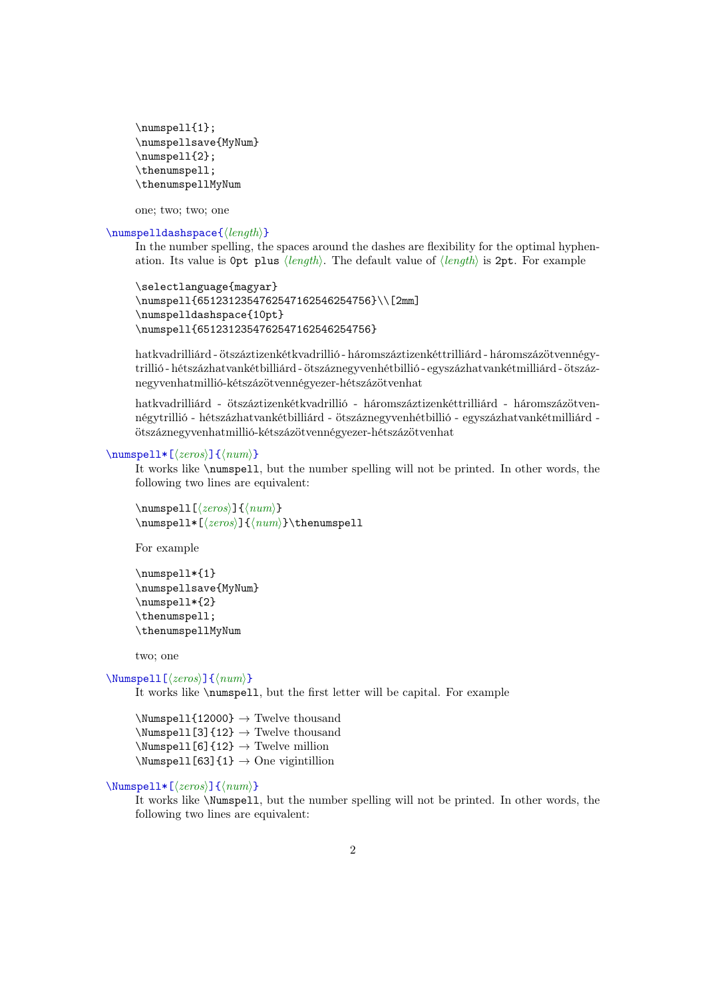```
\numspell{1};
\numspellsave{MyNum}
\numspell{2};
\thenumspell;
\thenumspellMyNum
```
one; two; two; one

### \numspelldashspace{⟨length⟩}

In the number spelling, the spaces around the dashes are flexibility for the optimal hyphenation. Its value is 0pt plus  $\langle length \rangle$ . The default value of  $\langle length \rangle$  is 2pt. For example

```
\selectlanguage{magyar}
\numspell{6512312354762547162546254756}\\[2mm]
\numspelldashspace{10pt}
\numspell{6512312354762547162546254756}
```
hatkvadrilliárd - ötszáztizenkétkvadrillió - háromszáztizenkéttrilliárd - háromszázötvennégytrillió - hétszázhatvankétbilliárd - ötszáznegyvenhétbillió - egyszázhatvankétmilliárd - ötszáznegyvenhatmillió-kétszázötvennégyezer-hétszázötvenhat

hatkvadrilliárd - ötszáztizenkétkvadrillió - háromszáztizenkéttrilliárd - háromszázötvennégytrillió - hétszázhatvankétbilliárd - ötszáznegyvenhétbillió - egyszázhatvankétmilliárd ötszáznegyvenhatmillió-kétszázötvennégyezer-hétszázötvenhat

#### \numspell\*[⟨zeros⟩]{⟨num⟩}

It works like \numspell, but the number spelling will not be printed. In other words, the following two lines are equivalent:

\numspell[⟨zeros⟩]{⟨num⟩} \numspell\*[⟨zeros⟩]{⟨num⟩}\thenumspell

For example

```
\numspell*{1}
\numspellsave{MyNum}
\numspell*{2}
\thenumspell;
\thenumspellMyNum
```
two; one

\Numspell[⟨zeros⟩]{⟨num⟩}

It works like \numspell, but the first letter will be capital. For example

 $\text{Numspel1}\{12000\} \rightarrow \text{Twelve}$  thousand  $\N$ umspell[3]{12}  $\rightarrow$  Twelve thousand  $\text{Numspell}[6]{12} \rightarrow \text{Twelve million}$  $\text{Numspel1}[63]$ {1}  $\rightarrow$  One vigintillion

### \Numspell\*[⟨zeros⟩]{⟨num⟩}

It works like \Numspell, but the number spelling will not be printed. In other words, the following two lines are equivalent: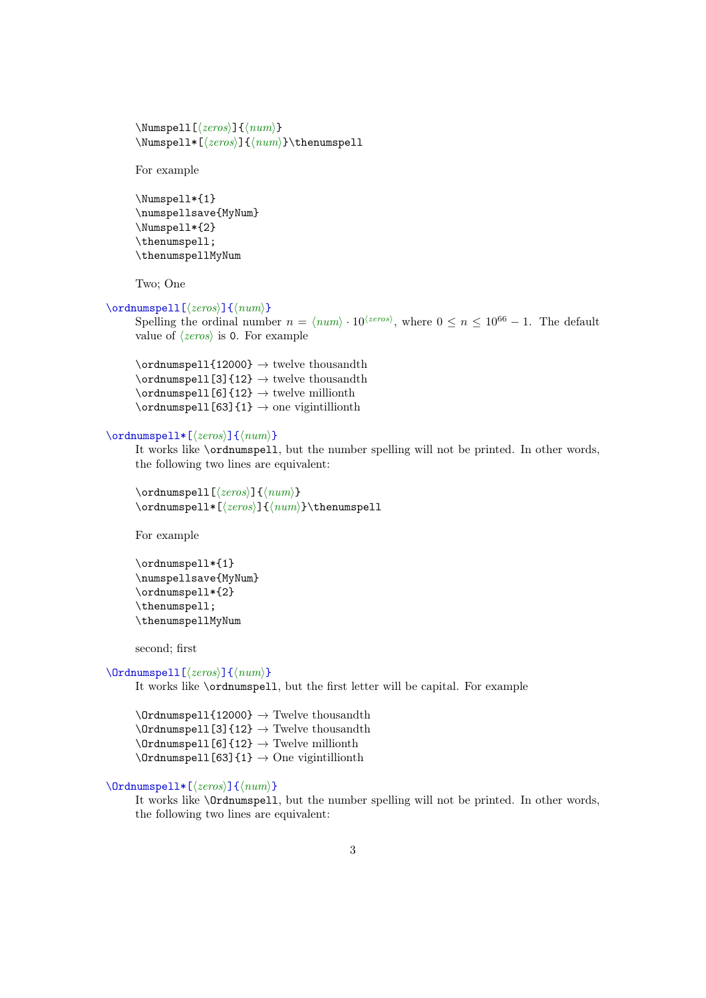```
\Numspell[⟨zeros⟩]{⟨num⟩}
\Numspell*[⟨zeros⟩]{⟨num⟩}\thenumspell
```
For example

```
\Numspell*{1}
\numspellsave{MyNum}
\Numspell*{2}
\thenumspell;
\thenumspellMyNum
```
Two; One

### \ordnumspell[⟨zeros⟩]{⟨num⟩}

Spelling the ordinal number  $n = \langle num \rangle \cdot 10^{\langle zeros \rangle}$ , where  $0 \le n \le 10^{66} - 1$ . The default value of  $\langle zeros \rangle$  is 0. For example

 $\mathrm{112000} \rightarrow \mathrm{two}$  twelve thousandth  $\mathrm{1}[3]$ {12}  $\rightarrow$  twelve thousandth  $\verb|\ordnumspell[6]{12} \rightarrow \text{twelve millionth}$  $\mathrm{1}[63]{1} \rightarrow \mathrm{one}$  vigintillionth

### \ordnumspell\*[⟨zeros⟩]{⟨num⟩}

It works like \ordnumspell, but the number spelling will not be printed. In other words, the following two lines are equivalent:

```
\ordnumspell[⟨zeros⟩]{⟨num⟩}
\ordnumspell*[⟨zeros⟩]{⟨num⟩}\thenumspell
```
For example

```
\ordnumspell*{1}
\numspellsave{MyNum}
\ordnumspell*{2}
\thenumspell;
\thenumspellMyNum
```
second; first

### \Ordnumspell[⟨zeros⟩]{⟨num⟩}

It works like \ordnumspell, but the first letter will be capital. For example

 $\Omega$ 12000}  $\rightarrow$  Twelve thousandth  $\verb+\Ordnumspell[3]{12} \rightarrow \text{Twelve thousandth}$  $\Omega[6]{12} \rightarrow \text{Twelve millionth}$  $\Omega[63]$ {1}  $\rightarrow$  One vigintillionth

```
\Ordnumspell*[⟨zeros⟩]{⟨num⟩}
```
It works like \Ordnumspell, but the number spelling will not be printed. In other words, the following two lines are equivalent: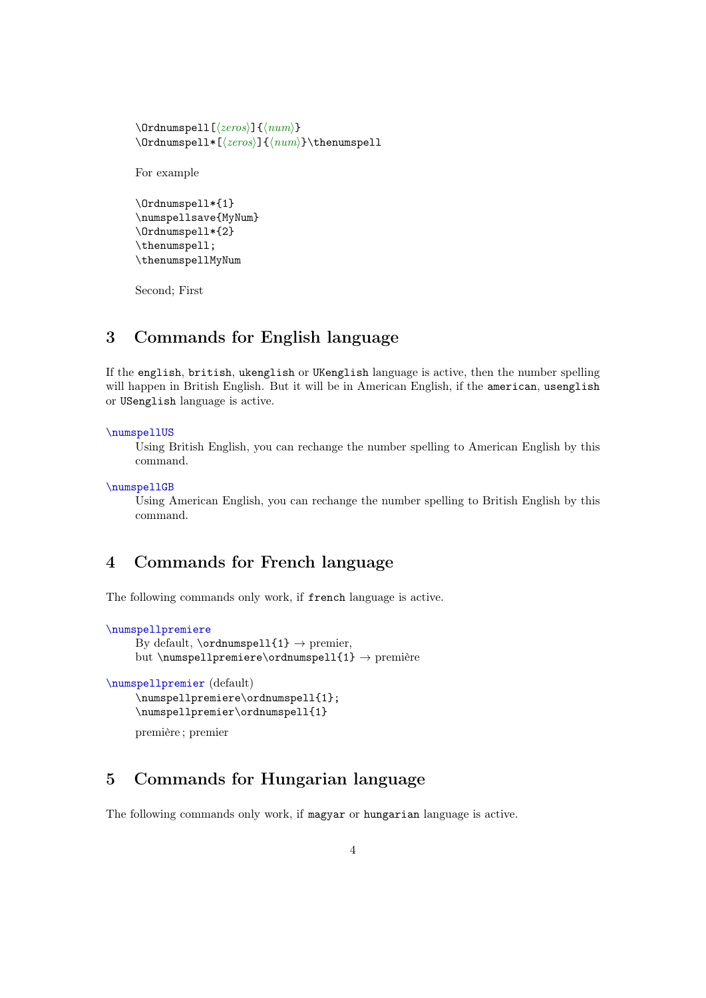```
\Ordnumspell[⟨zeros⟩]{⟨num⟩}
\Ordnumspell*[⟨zeros⟩]{⟨num⟩}\thenumspell
```
For example

```
\Ordnumspell*{1}
\numspellsave{MyNum}
\Ordnumspell*{2}
\thenumspell;
\thenumspellMyNum
```
Second; First

### 3 Commands for English language

If the english, british, ukenglish or UKenglish language is active, then the number spelling will happen in British English. But it will be in American English, if the american, usenglish or USenglish language is active.

#### \numspellUS

Using British English, you can rechange the number spelling to American English by this command.

```
\numspellGB
```
Using American English, you can rechange the number spelling to British English by this command.

### 4 Commands for French language

The following commands only work, if french language is active.

```
\numspellpremiere
```

```
By default, \mathrm{normal11} \rightarrow premier,
but \numspellpremiere\ordnumspell{1} \rightarrow première
```

```
\numspellpremier (default)
    \numspellpremiere\ordnumspell{1};
    \numspellpremier\ordnumspell{1}
```

```
première ; premier
```
# 5 Commands for Hungarian language

The following commands only work, if magyar or hungarian language is active.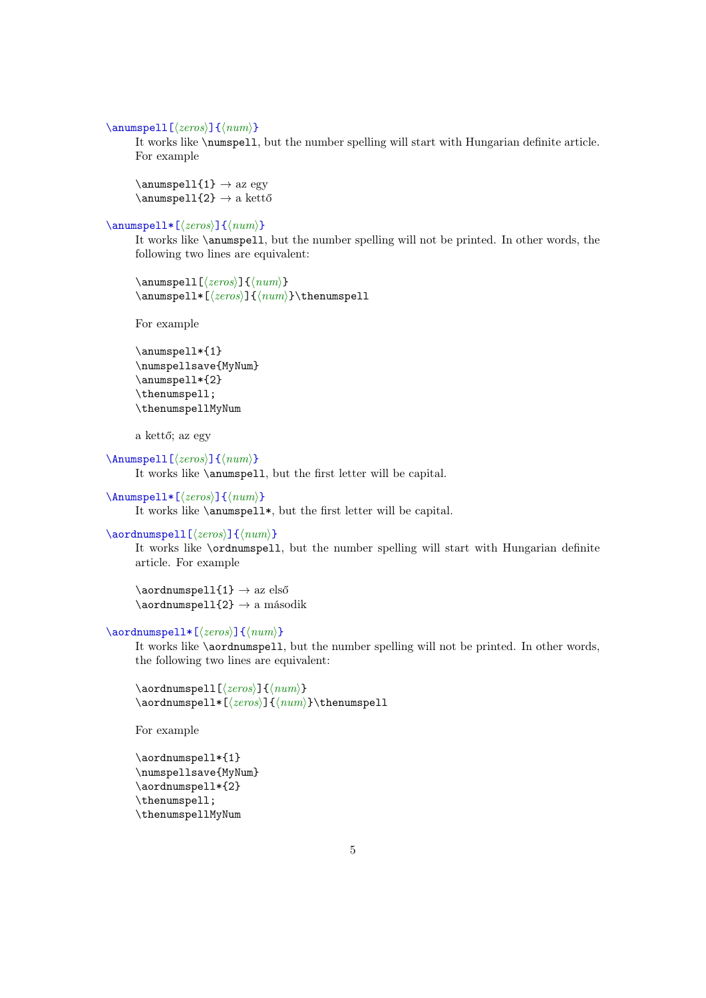#### \anumspell[⟨zeros⟩]{⟨num⟩}

It works like \numspell, but the number spelling will start with Hungarian definite article. For example

 $\lambda$  > az egy \anumspell{2} → a kettő

### \anumspell\*[⟨zeros⟩]{⟨num⟩}

It works like \anumspell, but the number spelling will not be printed. In other words, the following two lines are equivalent:

```
\anumspell[⟨zeros⟩]{⟨num⟩}
\anumspell*[⟨zeros⟩]{⟨num⟩}\thenumspell
```
For example

```
\anumspell*{1}
\numspellsave{MyNum}
\anumspell*{2}
\thenumspell;
\thenumspellMyNum
```
a kettő; az egy

```
\Anumspell[⟨zeros⟩]{⟨num⟩}
```
It works like \anumspell, but the first letter will be capital.

```
\Anumspell*[⟨zeros⟩]{⟨num⟩}
```
It works like \anumspell\*, but the first letter will be capital.

### \aordnumspell[⟨zeros⟩]{⟨num⟩}

It works like \ordnumspell, but the number spelling will start with Hungarian definite article. For example

 $\aord numberspel1{1} \rightarrow az első$ \aordnumspell{2} → a második

### \aordnumspell\*[⟨zeros⟩]{⟨num⟩}

It works like \aordnumspell, but the number spelling will not be printed. In other words, the following two lines are equivalent:

\aordnumspell[⟨zeros⟩]{⟨num⟩} \aordnumspell\*[⟨zeros⟩]{⟨num⟩}\thenumspell

For example

```
\aordnumspell*{1}
\numspellsave{MyNum}
\aordnumspell*{2}
\thenumspell;
\thenumspellMyNum
```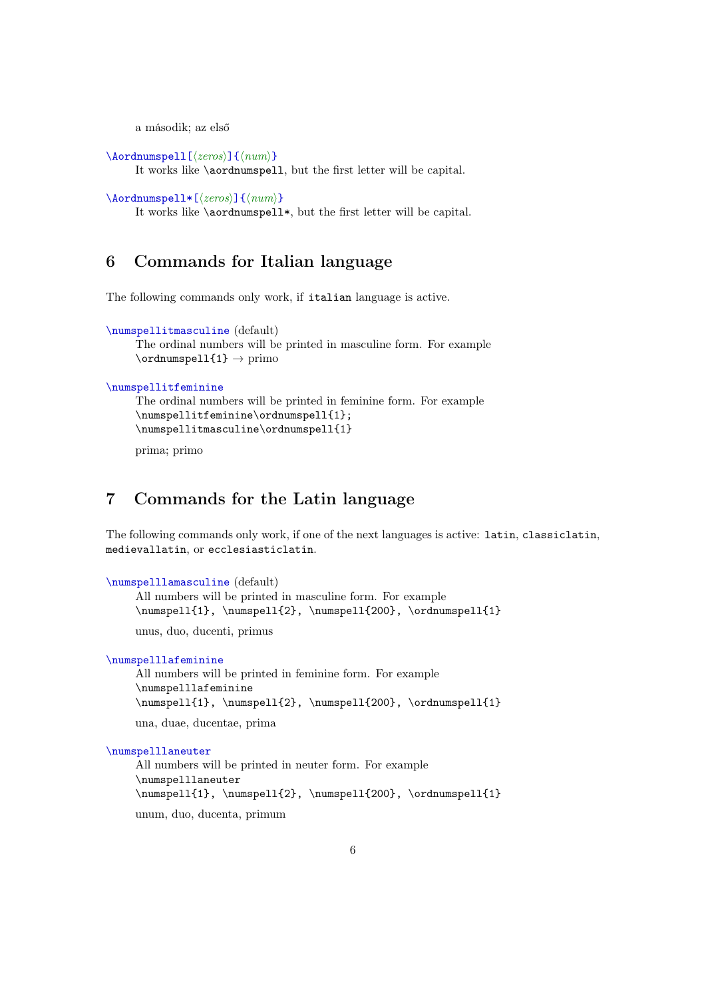a második; az első

```
\Aordnumspell[⟨zeros⟩]{⟨num⟩}
```
It works like \aordnumspell, but the first letter will be capital.

\Aordnumspell\*[⟨zeros⟩]{⟨num⟩}

It works like \aordnumspell\*, but the first letter will be capital.

# 6 Commands for Italian language

The following commands only work, if italian language is active.

```
\numspellitmasculine (default)
```

```
The ordinal numbers will be printed in masculine form. For example
\mathrm{ordnumspell1}_{3} \rightarrow \mathrm{primo}
```
### \numspellitfeminine

```
The ordinal numbers will be printed in feminine form. For example
\numspellitfeminine\ordnumspell{1};
\numspellitmasculine\ordnumspell{1}
```
prima; primo

### 7 Commands for the Latin language

The following commands only work, if one of the next languages is active: latin, classiclatin, medievallatin, or ecclesiasticlatin.

```
\numspelllamasculine (default)
     All numbers will be printed in masculine form. For example
     \sumspell{1}, \numspell{2}, \numspell{200}, \ord{\num}spell{1}
```
unus, duo, ducenti, primus

```
\numspelllafeminine
```
All numbers will be printed in feminine form. For example \numspelllafeminine  $\numspell{1}, \numspell{2}, \numspell{200}, \ord{numspel}{1}$ 

una, duae, ducentae, prima

#### \numspelllaneuter

All numbers will be printed in neuter form. For example \numspelllaneuter \numspell{1}, \numspell{2}, \numspell{200}, \ordnumspell{1}

unum, duo, ducenta, primum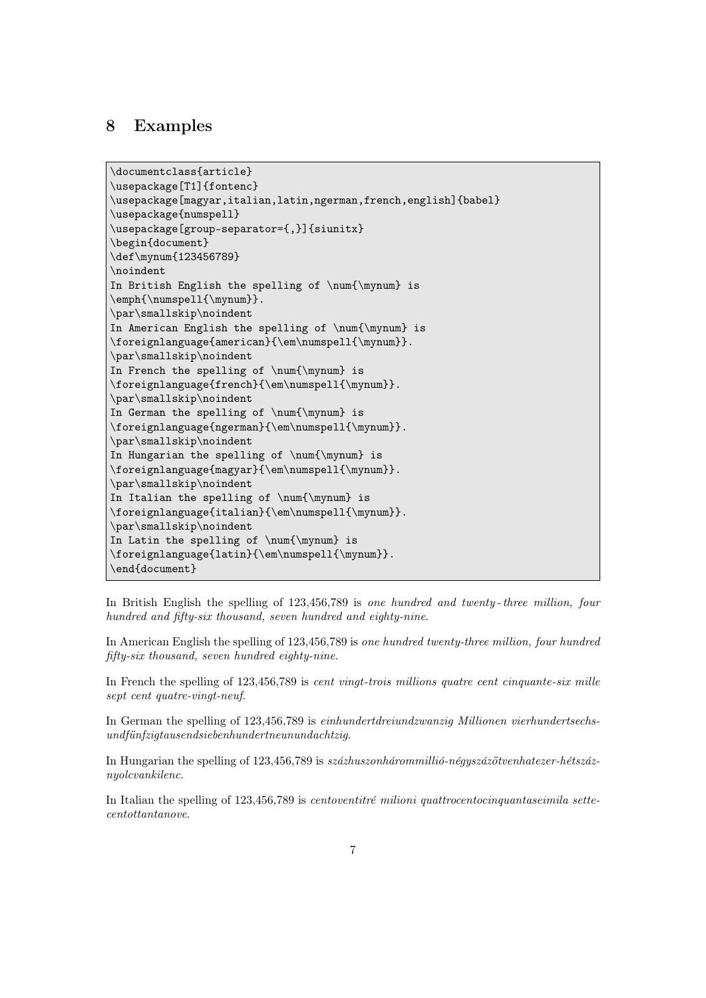### 8 Examples

```
\documentclass{article}
\usepackage[T1]{fontenc}
\usepackage[magyar,italian,latin,ngerman,french,english]{babel}
\usepackage{numspell}
\usepackage[group-separator={,}]{siunitx}
\begin{document}
\def\mynum{123456789}
\noindent
In British English the spelling of \num{\mynum} is
\emph{\numspell{\mynum}}.
\par\smallskip\noindent
In American English the spelling of \num{\mynum} is
\foreignlanguage{american}{\em\numspell{\mynum}}.
\par\smallskip\noindent
In French the spelling of \num{\mynum} is
\foreignlanguage{french}{\em\numspell{\mynum}}.
\par\smallskip\noindent
In German the spelling of \num{\mynum} is
\foreignlanguage{ngerman}{\em\numspell{\mynum}}.
\par\smallskip\noindent
In Hungarian the spelling of \num{\mynum} is
\foreignlanguage{magyar}{\em\numspell{\mynum}}.
\par\smallskip\noindent
In Italian the spelling of \num{\mnum} is
\foreignlanguage{italian}{\em\numspell{\mynum}}.
\par\smallskip\noindent
In Latin the spelling of \num{\mynum} is
\foreignlanguage{latin}{\em\numspell{\mynum}}.
\end{document}
```
In British English the spelling of 123,456,789 is one hundred and twenty-three million, four hundred and fifty-six thousand, seven hundred and eighty-nine.

In American English the spelling of 123,456,789 is one hundred twenty-three million, four hundred fifty-six thousand, seven hundred eighty-nine.

In French the spelling of 123,456,789 is *cent vingt-trois millions quatre cent cinquante-six mille* sept cent quatre-vingt-neuf.

In German the spelling of 123,456,789 is einhundertdreiundzwanzig Millionen vierhundertsechsundfünfzigtausendsiebenhundertneunundachtzig.

In Hungarian the spelling of 123,456,789 is százhuszonhárommillió-négyszázötvenhatezer-hétszáznyolcvankilenc.

In Italian the spelling of 123,456,789 is centoventitré milioni quattrocentocinquantaseimila settecentottantanove.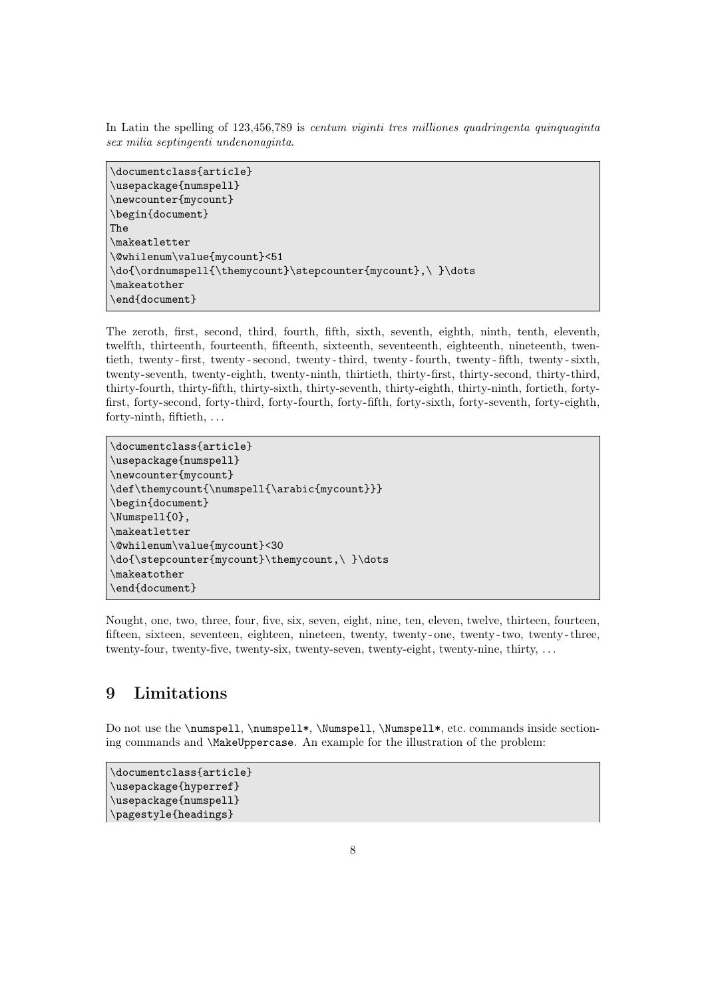In Latin the spelling of 123,456,789 is centum viginti tres milliones quadringenta quinquaginta sex milia septingenti undenonaginta.

\documentclass{article} \usepackage{numspell} \newcounter{mycount} \begin{document} The \makeatletter \@whilenum\value{mycount}<51 \do{\ordnumspell{\themycount}\stepcounter{mycount},\ }\dots \makeatother \end{document}

The zeroth, first, second, third, fourth, fifth, sixth, seventh, eighth, ninth, tenth, eleventh, twelfth, thirteenth, fourteenth, fifteenth, sixteenth, seventeenth, eighteenth, nineteenth, twentieth, twenty - first, twenty - second, twenty - third, twenty - fourth, twenty - fifth, twenty - sixth, twenty-seventh, twenty-eighth, twenty-ninth, thirtieth, thirty-first, thirty-second, thirty-third, thirty-fourth, thirty-fifth, thirty-sixth, thirty-seventh, thirty-eighth, thirty-ninth, fortieth, fortyfirst, forty-second, forty-third, forty-fourth, forty-fifth, forty-sixth, forty-seventh, forty-eighth, forty-ninth, fiftieth, . . .

```
\documentclass{article}
\usepackage{numspell}
\newcounter{mycount}
\def\themycount{\numspell{\arabic{mycount}}}
\begin{document}
\Numspell{0},
\makeatletter
\@whilenum\value{mycount}<30
\do{\stepcounter{mycount}\themycount,\ }\dots
\makeatother
\end{document}
```
Nought, one, two, three, four, five, six, seven, eight, nine, ten, eleven, twelve, thirteen, fourteen, fifteen, sixteen, seventeen, eighteen, nineteen, twenty, twenty - one, twenty - two, twenty - three, twenty-four, twenty-five, twenty-six, twenty-seven, twenty-eight, twenty-nine, thirty, . . .

# 9 Limitations

Do not use the \numspell, \numspell\*, \Numspell, \Numspell\*, etc. commands inside sectioning commands and \MakeUppercase. An example for the illustration of the problem:

```
\documentclass{article}
\usepackage{hyperref}
\usepackage{numspell}
\pagestyle{headings}
```